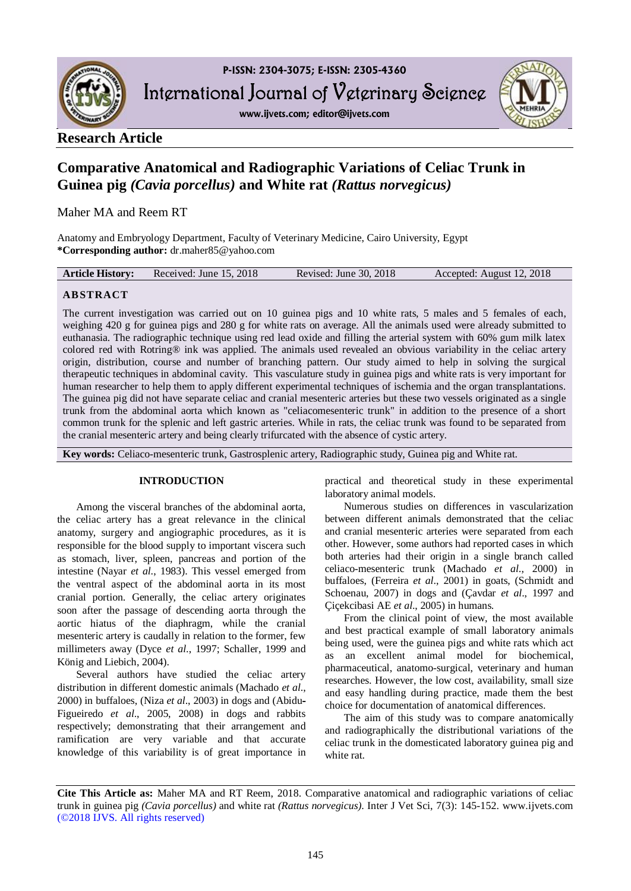

**www.ijvets.com; editor@ijvets.com**



## **Research Article**

# **Comparative Anatomical and Radiographic Variations of Celiac Trunk in Guinea pig** *(Cavia porcellus)* **and White rat** *(Rattus norvegicus)*

Maher MA and Reem RT

Anatomy and Embryology Department, Faculty of Veterinary Medicine, Cairo University, Egypt **\*Corresponding author:** dr.maher85@yahoo.com

| <b>Article History:</b><br>Revised: June 30, 2018<br>Accepted: August 12, 2018<br>Received: June 15, 2018 |
|-----------------------------------------------------------------------------------------------------------|
|-----------------------------------------------------------------------------------------------------------|

## **ABSTRACT**

The current investigation was carried out on 10 guinea pigs and 10 white rats, 5 males and 5 females of each, weighing 420 g for guinea pigs and 280 g for white rats on average. All the animals used were already submitted to euthanasia. The radiographic technique using red lead oxide and filling the arterial system with 60% gum milk latex colored red with Rotring® ink was applied. The animals used revealed an obvious variability in the celiac artery origin, distribution, course and number of branching pattern. Our study aimed to help in solving the surgical therapeutic techniques in abdominal cavity. This vasculature study in guinea pigs and white rats is very important for human researcher to help them to apply different experimental techniques of ischemia and the organ transplantations. The guinea pig did not have separate celiac and cranial mesenteric arteries but these two vessels originated as a single trunk from the abdominal aorta which known as "celiacomesenteric trunk" in addition to the presence of a short common trunk for the splenic and left gastric arteries. While in rats, the celiac trunk was found to be separated from the cranial mesenteric artery and being clearly trifurcated with the absence of cystic artery.

**Key words:** Celiaco-mesenteric trunk, Gastrosplenic artery, Radiographic study, Guinea pig and White rat.

## **INTRODUCTION**

Among the visceral branches of the abdominal aorta, the celiac artery has a great relevance in the clinical anatomy, surgery and angiographic procedures, as it is responsible for the blood supply to important viscera such as stomach, liver, spleen, pancreas and portion of the intestine (Nayar *et al*., 1983). This vessel emerged from the ventral aspect of the abdominal aorta in its most cranial portion. Generally, the celiac artery originates soon after the passage of descending aorta through the aortic hiatus of the diaphragm, while the cranial mesenteric artery is caudally in relation to the former, few millimeters away (Dyce *et al*., 1997; Schaller, 1999 and König and Liebich, 2004).

Several authors have studied the celiac artery distribution in different domestic animals (Machado *et al*., 2000) in buffaloes, (Niza *et al*., 2003) in dogs and (Abidu**-**Figueiredo *et al*., 2005, 2008) in dogs and rabbits respectively; demonstrating that their arrangement and ramification are very variable and that accurate knowledge of this variability is of great importance in practical and theoretical study in these experimental laboratory animal models.

Numerous studies on differences in vascularization between different animals demonstrated that the celiac and cranial mesenteric arteries were separated from each other. However, some authors had reported cases in which both arteries had their origin in a single branch called celiaco-mesenteric trunk (Machado *et al*., 2000) in buffaloes, (Ferreira *et al*., 2001) in goats, (Schmidt and Schoenau, 2007) in dogs and (Çavdar *et al*., 1997 and Çiçekcibasi AE *et al*., 2005) in humans.

From the clinical point of view, the most available and best practical example of small laboratory animals being used, were the guinea pigs and white rats which act as an excellent animal model for biochemical, pharmaceutical, anatomo-surgical, veterinary and human researches. However, the low cost, availability, small size and easy handling during practice, made them the best choice for documentation of anatomical differences.

The aim of this study was to compare anatomically and radiographically the distributional variations of the celiac trunk in the domesticated laboratory guinea pig and white rat.

**Cite This Article as:** Maher MA and RT Reem, 2018. Comparative anatomical and radiographic variations of celiac trunk in guinea pig *(Cavia porcellus)* and white rat *(Rattus norvegicus)*. Inter J Vet Sci, 7(3): 145-152. www.ijvets.com (©2018 IJVS. All rights reserved)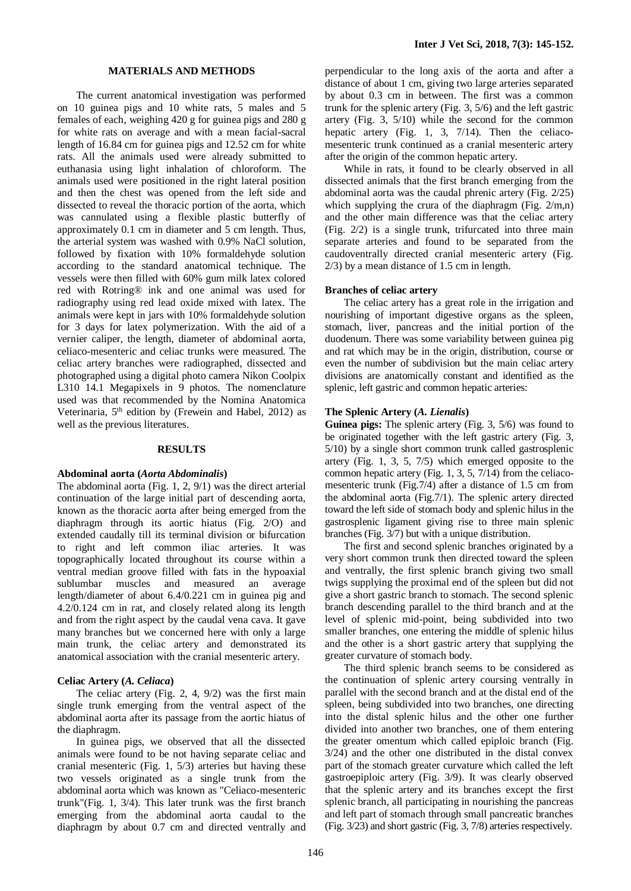#### **MATERIALS AND METHODS**

The current anatomical investigation was performed on 10 guinea pigs and 10 white rats, 5 males and 5 females of each, weighing 420 g for guinea pigs and 280 g for white rats on average and with a mean facial-sacral length of 16.84 cm for guinea pigs and 12.52 cm for white rats. All the animals used were already submitted to euthanasia using light inhalation of chloroform. The animals used were positioned in the right lateral position and then the chest was opened from the left side and dissected to reveal the thoracic portion of the aorta, which was cannulated using a flexible plastic butterfly of approximately 0.1 cm in diameter and 5 cm length. Thus, the arterial system was washed with 0.9% NaCl solution, followed by fixation with 10% formaldehyde solution according to the standard anatomical technique. The vessels were then filled with 60% gum milk latex colored red with Rotring® ink and one animal was used for radiography using red lead oxide mixed with latex. The animals were kept in jars with 10% formaldehyde solution for 3 days for latex polymerization. With the aid of a vernier caliper, the length, diameter of abdominal aorta, celiaco-mesenteric and celiac trunks were measured. The celiac artery branches were radiographed, dissected and photographed using a digital photo camera Nikon Coolpix L310 14.1 Megapixels in 9 photos. The nomenclature used was that recommended by the Nomina Anatomica Veterinaria, 5<sup>th</sup> edition by (Frewein and Habel, 2012) as well as the previous literatures.

#### **RESULTS**

#### **Abdominal aorta (***Aorta Abdominalis***)**

The abdominal aorta (Fig. 1, 2, 9/1) was the direct arterial continuation of the large initial part of descending aorta, known as the thoracic aorta after being emerged from the diaphragm through its aortic hiatus (Fig. 2/O) and extended caudally till its terminal division or bifurcation to right and left common iliac arteries. It was topographically located throughout its course within a ventral median groove filled with fats in the hypoaxial sublumbar muscles and measured an average length/diameter of about 6.4/0.221 cm in guinea pig and 4.2/0.124 cm in rat, and closely related along its length and from the right aspect by the caudal vena cava. It gave many branches but we concerned here with only a large main trunk, the celiac artery and demonstrated its anatomical association with the cranial mesenteric artery.

#### **Celiac Artery (***A. Celiaca***)**

The celiac artery (Fig. 2, 4, 9/2) was the first main single trunk emerging from the ventral aspect of the abdominal aorta after its passage from the aortic hiatus of the diaphragm.

In guinea pigs, we observed that all the dissected animals were found to be not having separate celiac and cranial mesenteric (Fig. 1, 5/3) arteries but having these two vessels originated as a single trunk from the abdominal aorta which was known as "Celiaco-mesenteric trunk"(Fig. 1, 3/4). This later trunk was the first branch emerging from the abdominal aorta caudal to the diaphragm by about 0.7 cm and directed ventrally and perpendicular to the long axis of the aorta and after a distance of about 1 cm, giving two large arteries separated by about 0.3 cm in between. The first was a common trunk for the splenic artery (Fig. 3, 5/6) and the left gastric artery (Fig. 3, 5/10) while the second for the common hepatic artery (Fig. 1, 3, 7/14). Then the celiacomesenteric trunk continued as a cranial mesenteric artery after the origin of the common hepatic artery.

While in rats, it found to be clearly observed in all dissected animals that the first branch emerging from the abdominal aorta was the caudal phrenic artery (Fig. 2/25) which supplying the crura of the diaphragm (Fig.  $2/m,n$ ) and the other main difference was that the celiac artery (Fig. 2/2) is a single trunk, trifurcated into three main separate arteries and found to be separated from the caudoventrally directed cranial mesenteric artery (Fig. 2/3) by a mean distance of 1.5 cm in length.

#### **Branches of celiac artery**

The celiac artery has a great role in the irrigation and nourishing of important digestive organs as the spleen, stomach, liver, pancreas and the initial portion of the duodenum. There was some variability between guinea pig and rat which may be in the origin, distribution, course or even the number of subdivision but the main celiac artery divisions are anatomically constant and identified as the splenic, left gastric and common hepatic arteries:

#### **The Splenic Artery (***A. Lienalis***)**

**Guinea pigs:** The splenic artery (Fig. 3, 5/6) was found to be originated together with the left gastric artery (Fig. 3, 5/10) by a single short common trunk called gastrosplenic artery (Fig. 1, 3, 5, 7/5) which emerged opposite to the common hepatic artery (Fig. 1, 3, 5, 7/14) from the celiacomesenteric trunk (Fig.7/4) after a distance of 1.5 cm from the abdominal aorta (Fig.7/1). The splenic artery directed toward the left side of stomach body and splenic hilus in the gastrosplenic ligament giving rise to three main splenic branches (Fig. 3/7) but with a unique distribution.

The first and second splenic branches originated by a very short common trunk then directed toward the spleen and ventrally, the first splenic branch giving two small twigs supplying the proximal end of the spleen but did not give a short gastric branch to stomach. The second splenic branch descending parallel to the third branch and at the level of splenic mid-point, being subdivided into two smaller branches, one entering the middle of splenic hilus and the other is a short gastric artery that supplying the greater curvature of stomach body.

The third splenic branch seems to be considered as the continuation of splenic artery coursing ventrally in parallel with the second branch and at the distal end of the spleen, being subdivided into two branches, one directing into the distal splenic hilus and the other one further divided into another two branches, one of them entering the greater omentum which called epiploic branch (Fig. 3/24) and the other one distributed in the distal convex part of the stomach greater curvature which called the left gastroepiploic artery (Fig. 3/9). It was clearly observed that the splenic artery and its branches except the first splenic branch, all participating in nourishing the pancreas and left part of stomach through small pancreatic branches (Fig. 3/23) and short gastric (Fig. 3, 7/8) arteries respectively.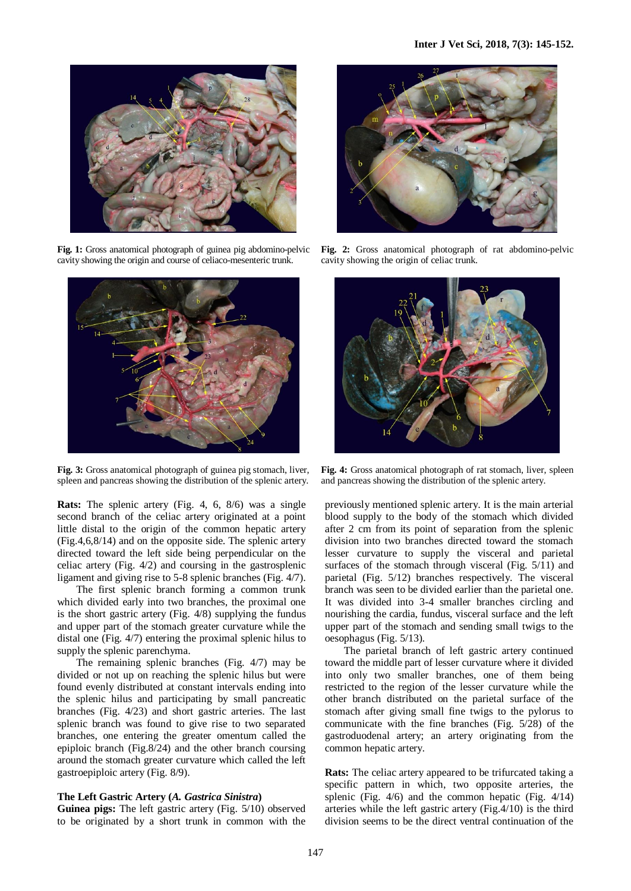

**Fig. 1:** Gross anatomical photograph of guinea pig abdomino-pelvic cavity showing the origin and course of celiaco-mesenteric trunk.



**Fig. 3:** Gross anatomical photograph of guinea pig stomach, liver, spleen and pancreas showing the distribution of the splenic artery.

**Rats:** The splenic artery (Fig. 4, 6, 8/6) was a single second branch of the celiac artery originated at a point little distal to the origin of the common hepatic artery (Fig.4,6,8/14) and on the opposite side. The splenic artery directed toward the left side being perpendicular on the celiac artery (Fig. 4/2) and coursing in the gastrosplenic ligament and giving rise to 5-8 splenic branches (Fig. 4/7).

The first splenic branch forming a common trunk which divided early into two branches, the proximal one is the short gastric artery (Fig. 4/8) supplying the fundus and upper part of the stomach greater curvature while the distal one (Fig. 4/7) entering the proximal splenic hilus to supply the splenic parenchyma.

The remaining splenic branches (Fig. 4/7) may be divided or not up on reaching the splenic hilus but were found evenly distributed at constant intervals ending into the splenic hilus and participating by small pancreatic branches (Fig. 4/23) and short gastric arteries. The last splenic branch was found to give rise to two separated branches, one entering the greater omentum called the epiploic branch (Fig.8/24) and the other branch coursing around the stomach greater curvature which called the left gastroepiploic artery (Fig. 8/9).

### **The Left Gastric Artery (***A. Gastrica Sinistra***)**

**Guinea pigs:** The left gastric artery (Fig. 5/10) observed to be originated by a short trunk in common with the



**Fig. 2:** Gross anatomical photograph of rat abdomino-pelvic cavity showing the origin of celiac trunk.



**Fig. 4:** Gross anatomical photograph of rat stomach, liver, spleen and pancreas showing the distribution of the splenic artery.

previously mentioned splenic artery. It is the main arterial blood supply to the body of the stomach which divided after 2 cm from its point of separation from the splenic division into two branches directed toward the stomach lesser curvature to supply the visceral and parietal surfaces of the stomach through visceral (Fig. 5/11) and parietal (Fig. 5/12) branches respectively. The visceral branch was seen to be divided earlier than the parietal one. It was divided into 3-4 smaller branches circling and nourishing the cardia, fundus, visceral surface and the left upper part of the stomach and sending small twigs to the oesophagus (Fig. 5/13).

The parietal branch of left gastric artery continued toward the middle part of lesser curvature where it divided into only two smaller branches, one of them being restricted to the region of the lesser curvature while the other branch distributed on the parietal surface of the stomach after giving small fine twigs to the pylorus to communicate with the fine branches (Fig. 5/28) of the gastroduodenal artery; an artery originating from the common hepatic artery.

**Rats:** The celiac artery appeared to be trifurcated taking a specific pattern in which, two opposite arteries, the splenic (Fig. 4/6) and the common hepatic (Fig. 4/14) arteries while the left gastric artery (Fig.4/10) is the third division seems to be the direct ventral continuation of the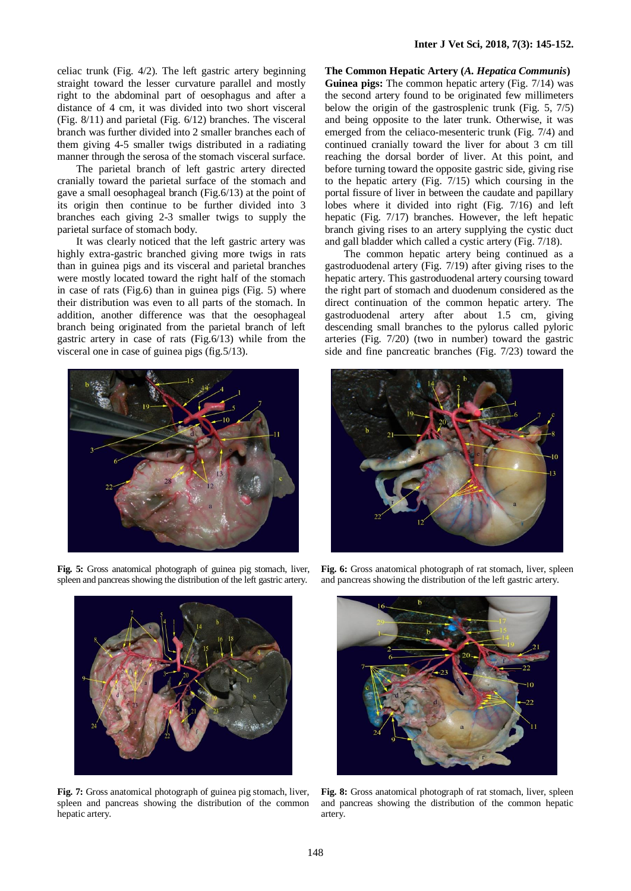celiac trunk (Fig. 4/2). The left gastric artery beginning straight toward the lesser curvature parallel and mostly right to the abdominal part of oesophagus and after a distance of 4 cm, it was divided into two short visceral (Fig. 8/11) and parietal (Fig. 6/12) branches. The visceral branch was further divided into 2 smaller branches each of them giving 4-5 smaller twigs distributed in a radiating manner through the serosa of the stomach visceral surface.

The parietal branch of left gastric artery directed cranially toward the parietal surface of the stomach and gave a small oesophageal branch (Fig.6/13) at the point of its origin then continue to be further divided into 3 branches each giving 2-3 smaller twigs to supply the parietal surface of stomach body.

It was clearly noticed that the left gastric artery was highly extra-gastric branched giving more twigs in rats than in guinea pigs and its visceral and parietal branches were mostly located toward the right half of the stomach in case of rats (Fig.6) than in guinea pigs (Fig. 5) where their distribution was even to all parts of the stomach. In addition, another difference was that the oesophageal branch being originated from the parietal branch of left gastric artery in case of rats (Fig.6/13) while from the visceral one in case of guinea pigs (fig.5/13).



**Fig. 5:** Gross anatomical photograph of guinea pig stomach, liver, spleen and pancreas showing the distribution of the left gastric artery.



**Fig. 7:** Gross anatomical photograph of guinea pig stomach, liver, spleen and pancreas showing the distribution of the common hepatic artery.

**The Common Hepatic Artery (***A. Hepatica Communis***) Guinea pigs:** The common hepatic artery (Fig. 7/14) was the second artery found to be originated few millimeters below the origin of the gastrosplenic trunk (Fig. 5, 7/5) and being opposite to the later trunk. Otherwise, it was emerged from the celiaco-mesenteric trunk (Fig. 7/4) and continued cranially toward the liver for about 3 cm till reaching the dorsal border of liver. At this point, and before turning toward the opposite gastric side, giving rise to the hepatic artery (Fig. 7/15) which coursing in the portal fissure of liver in between the caudate and papillary lobes where it divided into right (Fig. 7/16) and left hepatic (Fig. 7/17) branches. However, the left hepatic branch giving rises to an artery supplying the cystic duct and gall bladder which called a cystic artery (Fig. 7/18).

The common hepatic artery being continued as a gastroduodenal artery (Fig. 7/19) after giving rises to the hepatic artery. This gastroduodenal artery coursing toward the right part of stomach and duodenum considered as the direct continuation of the common hepatic artery. The gastroduodenal artery after about 1.5 cm, giving descending small branches to the pylorus called pyloric arteries (Fig. 7/20) (two in number) toward the gastric side and fine pancreatic branches (Fig. 7/23) toward the



**Fig. 6:** Gross anatomical photograph of rat stomach, liver, spleen and pancreas showing the distribution of the left gastric artery.



**Fig. 8:** Gross anatomical photograph of rat stomach, liver, spleen and pancreas showing the distribution of the common hepatic artery.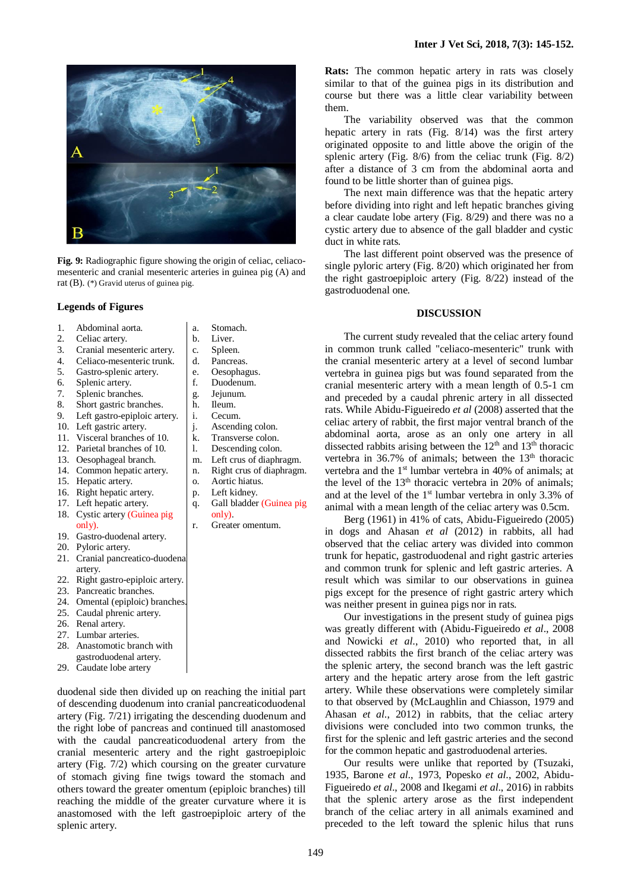

**Fig. 9:** Radiographic figure showing the origin of celiac, celiacomesenteric and cranial mesenteric arteries in guinea pig (A) and rat (B). (\*) Gravid uterus of guinea pig.

#### **Legends of Figures**

- 1. Abdominal aorta.
- 2. Celiac artery.
- 3. Cranial mesenteric artery.
- 4. Celiaco-mesenteric trunk.
- 5. Gastro-splenic artery.
- 6. Splenic artery.
- 7. Splenic branches.
- 8. Short gastric branches.
- 9. Left gastro-epiploic artery.
- 10. Left gastric artery.
- 11. Visceral branches of 10.
- 12. Parietal branches of 10.
- 13. Oesophageal branch.
- 14. Common hepatic artery.
- 15. Hepatic artery.
- 16. Right hepatic artery.
- 17. Left hepatic artery. 18. Cystic artery (Guinea pig only).
- 19. Gastro-duodenal artery.
- 20. Pyloric artery.
- 21. Cranial pancreatico-duodenal
- artery. 22. Right gastro-epiploic artery.
- 23. Pancreatic branches.
- 24. Omental (epiploic) branches.
- 25. Caudal phrenic artery.
- 26. Renal artery.
- 27. Lumbar arteries.
- 28. Anastomotic branch with gastroduodenal artery.
- 29. Caudate lobe artery

duodenal side then divided up on reaching the initial part of descending duodenum into cranial pancreaticoduodenal artery (Fig. 7/21) irrigating the descending duodenum and the right lobe of pancreas and continued till anastomosed with the caudal pancreaticoduodenal artery from the cranial mesenteric artery and the right gastroepiploic artery (Fig. 7/2) which coursing on the greater curvature of stomach giving fine twigs toward the stomach and others toward the greater omentum (epiploic branches) till reaching the middle of the greater curvature where it is anastomosed with the left gastroepiploic artery of the splenic artery.

a. Stomach.

- b. Liver.
- c. Spleen.
- d. Pancreas.
- e. Oesophagus.
- f. Duodenum.
- g. Jejunum.
- h. Ileum.
- i. Cecum.
- j. Ascending colon.
- k. Transverse colon.
- l. Descending colon.
- m. Left crus of diaphragm.
- n. Right crus of diaphragm. o. Aortic hiatus.
- p. Left kidney.
- 
- q. Gall bladder (Guinea pig only).
	- Greater omentum.

**Rats:** The common hepatic artery in rats was closely similar to that of the guinea pigs in its distribution and course but there was a little clear variability between them.

The variability observed was that the common hepatic artery in rats (Fig. 8/14) was the first artery originated opposite to and little above the origin of the splenic artery (Fig. 8/6) from the celiac trunk (Fig. 8/2) after a distance of 3 cm from the abdominal aorta and found to be little shorter than of guinea pigs.

The next main difference was that the hepatic artery before dividing into right and left hepatic branches giving a clear caudate lobe artery (Fig. 8/29) and there was no a cystic artery due to absence of the gall bladder and cystic duct in white rats.

The last different point observed was the presence of single pyloric artery (Fig. 8/20) which originated her from the right gastroepiploic artery (Fig. 8/22) instead of the gastroduodenal one.

#### **DISCUSSION**

The current study revealed that the celiac artery found in common trunk called "celiaco-mesenteric" trunk with the cranial mesenteric artery at a level of second lumbar vertebra in guinea pigs but was found separated from the cranial mesenteric artery with a mean length of 0.5-1 cm and preceded by a caudal phrenic artery in all dissected rats. While Abidu-Figueiredo *et al* (2008) asserted that the celiac artery of rabbit, the first major ventral branch of the abdominal aorta, arose as an only one artery in all dissected rabbits arising between the  $12<sup>th</sup>$  and  $13<sup>th</sup>$  thoracic vertebra in 36.7% of animals; between the  $13<sup>th</sup>$  thoracic vertebra and the 1<sup>st</sup> lumbar vertebra in 40% of animals; at the level of the  $13<sup>th</sup>$  thoracic vertebra in 20% of animals; and at the level of the 1st lumbar vertebra in only 3.3% of animal with a mean length of the celiac artery was 0.5cm.

Berg (1961) in 41% of cats, Abidu-Figueiredo (2005) in dogs and Ahasan *et al* (2012) in rabbits, all had observed that the celiac artery was divided into common trunk for hepatic, gastroduodenal and right gastric arteries and common trunk for splenic and left gastric arteries. A result which was similar to our observations in guinea pigs except for the presence of right gastric artery which was neither present in guinea pigs nor in rats.

Our investigations in the present study of guinea pigs was greatly different with (Abidu-Figueiredo *et al*., 2008 and Nowicki *et al*., 2010) who reported that, in all dissected rabbits the first branch of the celiac artery was the splenic artery, the second branch was the left gastric artery and the hepatic artery arose from the left gastric artery. While these observations were completely similar to that observed by (McLaughlin and Chiasson, 1979 and Ahasan *et al*., 2012) in rabbits, that the celiac artery divisions were concluded into two common trunks, the first for the splenic and left gastric arteries and the second for the common hepatic and gastroduodenal arteries.

Our results were unlike that reported by (Tsuzaki, 1935, Barone *et al*., 1973, Popesko *et al*., 2002, Abidu-Figueiredo *et al*., 2008 and Ikegami *et al*., 2016) in rabbits that the splenic artery arose as the first independent branch of the celiac artery in all animals examined and preceded to the left toward the splenic hilus that runs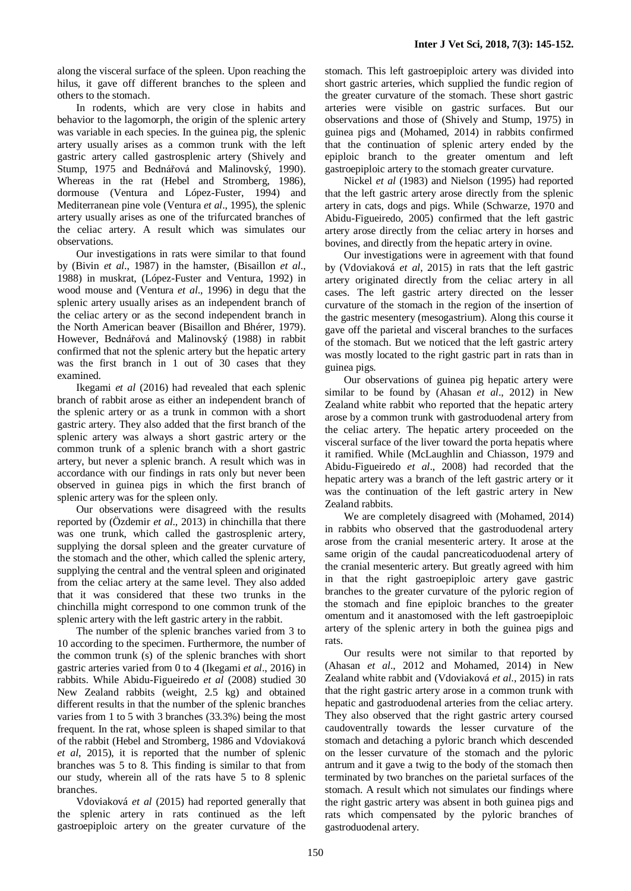along the visceral surface of the spleen. Upon reaching the hilus, it gave off different branches to the spleen and others to the stomach.

In rodents, which are very close in habits and behavior to the lagomorph, the origin of the splenic artery was variable in each species. In the guinea pig, the splenic artery usually arises as a common trunk with the left gastric artery called gastrosplenic artery (Shively and Stump, 1975 and Bednářová and Malinovský, 1990). Whereas in the rat (Hebel and Stromberg, 1986), dormouse (Ventura and López-Fuster, 1994) and Mediterranean pine vole (Ventura *et al*., 1995), the splenic artery usually arises as one of the trifurcated branches of the celiac artery. A result which was simulates our observations.

Our investigations in rats were similar to that found by (Bivin *et al*., 1987) in the hamster, (Bisaillon *et al*., 1988) in muskrat, (López-Fuster and Ventura, 1992) in wood mouse and (Ventura *et al*., 1996) in degu that the splenic artery usually arises as an independent branch of the celiac artery or as the second independent branch in the North American beaver (Bisaillon and Bhérer, 1979). However, Bednářová and Malinovský (1988) in rabbit confirmed that not the splenic artery but the hepatic artery was the first branch in 1 out of 30 cases that they examined.

Ikegami *et al* (2016) had revealed that each splenic branch of rabbit arose as either an independent branch of the splenic artery or as a trunk in common with a short gastric artery. They also added that the first branch of the splenic artery was always a short gastric artery or the common trunk of a splenic branch with a short gastric artery, but never a splenic branch. A result which was in accordance with our findings in rats only but never been observed in guinea pigs in which the first branch of splenic artery was for the spleen only.

Our observations were disagreed with the results reported by (Özdemir *et al*., 2013) in chinchilla that there was one trunk, which called the gastrosplenic artery, supplying the dorsal spleen and the greater curvature of the stomach and the other, which called the splenic artery, supplying the central and the ventral spleen and originated from the celiac artery at the same level. They also added that it was considered that these two trunks in the chinchilla might correspond to one common trunk of the splenic artery with the left gastric artery in the rabbit.

The number of the splenic branches varied from 3 to 10 according to the specimen. Furthermore, the number of the common trunk (s) of the splenic branches with short gastric arteries varied from 0 to 4 (Ikegami *et al*., 2016) in rabbits. While Abidu-Figueiredo *et al* (2008) studied 30 New Zealand rabbits (weight, 2.5 kg) and obtained different results in that the number of the splenic branches varies from 1 to 5 with 3 branches (33.3%) being the most frequent. In the rat, whose spleen is shaped similar to that of the rabbit (Hebel and Stromberg, 1986 and Vdoviaková *et al*, 2015), it is reported that the number of splenic branches was 5 to 8. This finding is similar to that from our study, wherein all of the rats have 5 to 8 splenic branches.

Vdoviaková *et al* (2015) had reported generally that the splenic artery in rats continued as the left gastroepiploic artery on the greater curvature of the

stomach. This left gastroepiploic artery was divided into short gastric arteries, which supplied the fundic region of the greater curvature of the stomach. These short gastric arteries were visible on gastric surfaces. But our observations and those of (Shively and Stump, 1975) in guinea pigs and (Mohamed, 2014) in rabbits confirmed that the continuation of splenic artery ended by the epiploic branch to the greater omentum and left gastroepiploic artery to the stomach greater curvature.

Nickel *et al* (1983) and Nielson (1995) had reported that the left gastric artery arose directly from the splenic artery in cats, dogs and pigs. While (Schwarze, 1970 and Abidu-Figueiredo, 2005) confirmed that the left gastric artery arose directly from the celiac artery in horses and bovines, and directly from the hepatic artery in ovine.

Our investigations were in agreement with that found by (Vdoviaková *et al*, 2015) in rats that the left gastric artery originated directly from the celiac artery in all cases. The left gastric artery directed on the lesser curvature of the stomach in the region of the insertion of the gastric mesentery (mesogastrium). Along this course it gave off the parietal and visceral branches to the surfaces of the stomach. But we noticed that the left gastric artery was mostly located to the right gastric part in rats than in guinea pigs.

Our observations of guinea pig hepatic artery were similar to be found by (Ahasan *et al*., 2012) in New Zealand white rabbit who reported that the hepatic artery arose by a common trunk with gastroduodenal artery from the celiac artery. The hepatic artery proceeded on the visceral surface of the liver toward the porta hepatis where it ramified. While (McLaughlin and Chiasson, 1979 and Abidu-Figueiredo *et al*., 2008) had recorded that the hepatic artery was a branch of the left gastric artery or it was the continuation of the left gastric artery in New Zealand rabbits.

We are completely disagreed with (Mohamed, 2014) in rabbits who observed that the gastroduodenal artery arose from the cranial mesenteric artery. It arose at the same origin of the caudal pancreaticoduodenal artery of the cranial mesenteric artery. But greatly agreed with him in that the right gastroepiploic artery gave gastric branches to the greater curvature of the pyloric region of the stomach and fine epiploic branches to the greater omentum and it anastomosed with the left gastroepiploic artery of the splenic artery in both the guinea pigs and rats.

Our results were not similar to that reported by (Ahasan *et al*., 2012 and Mohamed, 2014) in New Zealand white rabbit and (Vdoviaková *et al*., 2015) in rats that the right gastric artery arose in a common trunk with hepatic and gastroduodenal arteries from the celiac artery. They also observed that the right gastric artery coursed caudoventrally towards the lesser curvature of the stomach and detaching a pyloric branch which descended on the lesser curvature of the stomach and the pyloric antrum and it gave a twig to the body of the stomach then terminated by two branches on the parietal surfaces of the stomach. A result which not simulates our findings where the right gastric artery was absent in both guinea pigs and rats which compensated by the pyloric branches of gastroduodenal artery.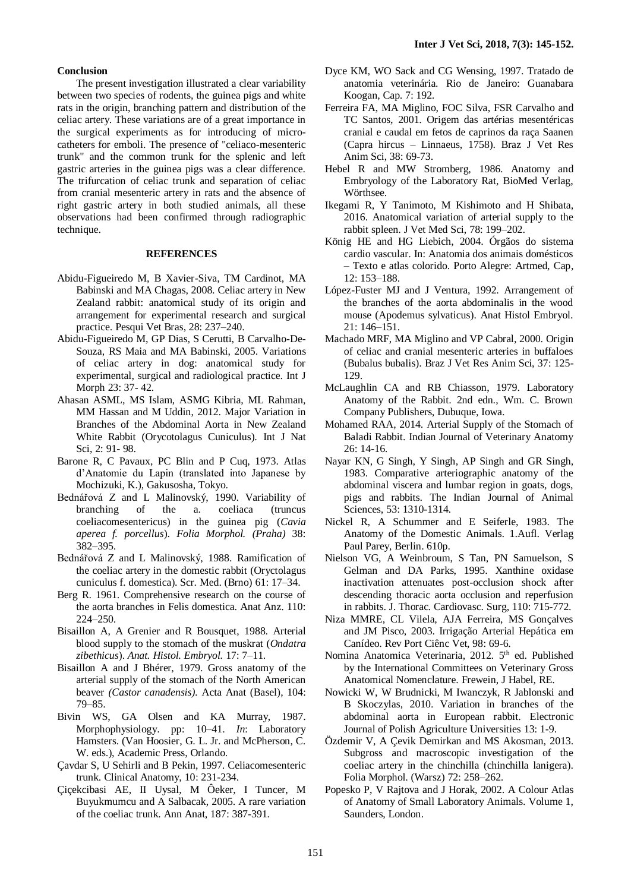#### **Conclusion**

The present investigation illustrated a clear variability between two species of rodents, the guinea pigs and white rats in the origin, branching pattern and distribution of the celiac artery. These variations are of a great importance in the surgical experiments as for introducing of microcatheters for emboli. The presence of "celiaco-mesenteric trunk" and the common trunk for the splenic and left gastric arteries in the guinea pigs was a clear difference. The trifurcation of celiac trunk and separation of celiac from cranial mesenteric artery in rats and the absence of right gastric artery in both studied animals, all these observations had been confirmed through radiographic technique.

#### **REFERENCES**

- Abidu-Figueiredo M, B Xavier-Siva, TM Cardinot, MA Babinski and MA Chagas, 2008. Celiac artery in New Zealand rabbit: anatomical study of its origin and arrangement for experimental research and surgical practice. Pesqui Vet Bras, 28: 237–240.
- Abidu-Figueiredo M, GP Dias, S Cerutti, B Carvalho-De-Souza, RS Maia and MA Babinski, 2005. Variations of celiac artery in dog: anatomical study for experimental, surgical and radiological practice. Int J Morph 23: 37- 42.
- Ahasan ASML, MS Islam, ASMG Kibria, ML Rahman, MM Hassan and M Uddin, 2012. Major Variation in Branches of the Abdominal Aorta in New Zealand White Rabbit (Orycotolagus Cuniculus). Int J Nat Sci, 2: 91- 98.
- Barone R, C Pavaux, PC Blin and P Cuq, 1973. Atlas d'Anatomie du Lapin (translated into Japanese by Mochizuki, K.), Gakusosha, Tokyo.
- Bednářová Z and L Malinovský, 1990. Variability of branching of the a. coeliaca (truncus coeliacomesentericus) in the guinea pig (*Cavia aperea f. porcellus*). *Folia Morphol. (Praha)* 38: 382–395.
- Bednářová Z and L Malinovský, 1988. Ramification of the coeliac artery in the domestic rabbit (Oryctolagus cuniculus f. domestica). Scr. Med. (Brno) 61: 17–34.
- Berg R. 1961. Comprehensive research on the course of the aorta branches in Felis domestica. Anat Anz. 110: 224–250.
- Bisaillon A, A Grenier and R Bousquet, 1988. Arterial blood supply to the stomach of the muskrat (*Ondatra zibethicus*). *Anat. Histol. Embryol.* 17: 7–11.
- Bisaillon A and J Bhérer, 1979. Gross anatomy of the arterial supply of the stomach of the North American beaver *(Castor canadensis)*. Acta Anat (Basel), 104: 79–85.
- Bivin WS, GA Olsen and KA Murray, 1987. Morphophysiology. pp: 10–41. *In*: Laboratory Hamsters. (Van Hoosier, G. L. Jr. and McPherson, C. W. eds.), Academic Press, Orlando.
- Çavdar S, U Sehirli and B Pekin, 1997. Celiacomesenteric trunk. Clinical Anatomy, 10: 231-234.
- Çiçekcibasi AE, II Uysal, M Ôeker, I Tuncer, M Buyukmumcu and A Salbacak, 2005. A rare variation of the coeliac trunk. Ann Anat, 187: 387-391.
- Dyce KM, WO Sack and CG Wensing, 1997. Tratado de anatomia veterinária. Rio de Janeiro: Guanabara Koogan, Cap. 7: 192.
- Ferreira FA, MA Miglino, FOC Silva, FSR Carvalho and TC Santos, 2001. Origem das artérias mesentéricas cranial e caudal em fetos de caprinos da raça Saanen (Capra hircus – Linnaeus, 1758). Braz J Vet Res Anim Sci, 38: 69-73.
- Hebel R and MW Stromberg, 1986. Anatomy and Embryology of the Laboratory Rat, BioMed Verlag, Wörthsee.
- Ikegami R, Y Tanimoto, M Kishimoto and H Shibata, 2016. Anatomical variation of arterial supply to the rabbit spleen. J Vet Med Sci, 78: 199–202.
- König HE and HG Liebich, 2004. Órgãos do sistema cardio vascular. In: Anatomia dos animais domésticos – Texto e atlas colorido. Porto Alegre: Artmed, Cap, 12: 153–188.
- López-Fuster MJ and J Ventura, 1992. Arrangement of the branches of the aorta abdominalis in the wood mouse (Apodemus sylvaticus). Anat Histol Embryol. 21: 146–151.
- Machado MRF, MA Miglino and VP Cabral, 2000. Origin of celiac and cranial mesenteric arteries in buffaloes (Bubalus bubalis). Braz J Vet Res Anim Sci, 37: 125- 129.
- McLaughlin CA and RB Chiasson, 1979. Laboratory Anatomy of the Rabbit. 2nd edn., Wm. C. Brown Company Publishers, Dubuque, Iowa.
- Mohamed RAA, 2014. Arterial Supply of the Stomach of Baladi Rabbit. Indian Journal of Veterinary Anatomy 26: 14-16.
- Nayar KN, G Singh, Y Singh, AP Singh and GR Singh, 1983. Comparative arteriographic anatomy of the abdominal viscera and lumbar region in goats, dogs, pigs and rabbits. The Indian Journal of Animal Sciences, 53: 1310-1314.
- Nickel R, A Schummer and E Seiferle, 1983. The Anatomy of the Domestic Animals. 1.Aufl. Verlag Paul Parey, Berlin. 610p.
- Nielson VG, A Weinbroum, S Tan, PN Samuelson, S Gelman and DA Parks, 1995. Xanthine oxidase inactivation attenuates post-occlusion shock after descending thoracic aorta occlusion and reperfusion in rabbits. J. Thorac. Cardiovasc. Surg, 110: 715-772.
- Niza MMRE, CL Vilela, AJA Ferreira, MS Gonçalves and JM Pisco, 2003. Irrigação Arterial Hepática em Canídeo. Rev Port Ciênc Vet, 98: 69-6.
- Nomina Anatomica Veterinaria, 2012. 5<sup>th</sup> ed. Published by the International Committees on Veterinary Gross Anatomical Nomenclature. Frewein, J Habel, RE.
- Nowicki W, W Brudnicki, M Iwanczyk, R Jablonski and B Skoczylas, 2010. Variation in branches of the abdominal aorta in European rabbit. Electronic Journal of Polish Agriculture Universities 13: 1-9.
- Özdemir V, A Çevik Demirkan and MS Akosman, 2013. Subgross and macroscopic investigation of the coeliac artery in the chinchilla (chinchilla lanigera). Folia Morphol. (Warsz) 72: 258–262.
- Popesko P, V Rajtova and J Horak, 2002. A Colour Atlas of Anatomy of Small Laboratory Animals. Volume 1, Saunders, London.